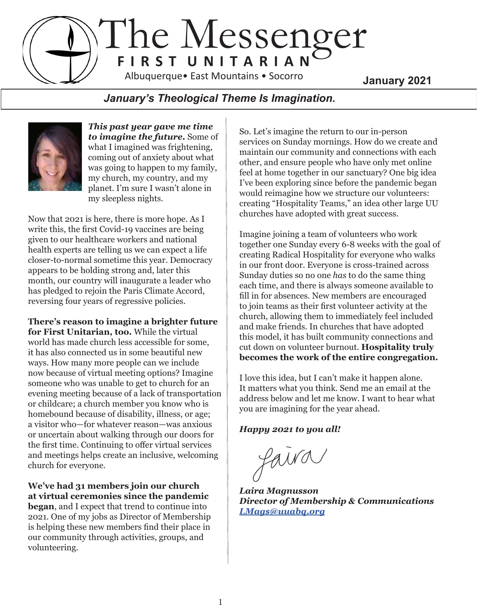## The Messenger **F I R S T U N I T A R I A N January 2021** Albuquerque• East Mountains • Socorro

## *January's Theological Theme Is Imagination.*



*This past year gave me time to imagine the future.* Some of what I imagined was frightening, coming out of anxiety about what was going to happen to my family, my church, my country, and my planet. I'm sure I wasn't alone in my sleepless nights.

Now that 2021 is here, there is more hope. As I write this, the first Covid-19 vaccines are being given to our healthcare workers and national health experts are telling us we can expect a life closer-to-normal sometime this year. Democracy appears to be holding strong and, later this month, our country will inaugurate a leader who has pledged to rejoin the Paris Climate Accord, reversing four years of regressive policies.

**There's reason to imagine a brighter future for First Unitarian, too.** While the virtual world has made church less accessible for some, it has also connected us in some beautiful new ways. How many more people can we include now because of virtual meeting options? Imagine someone who was unable to get to church for an evening meeting because of a lack of transportation or childcare; a church member you know who is homebound because of disability, illness, or age; a visitor who—for whatever reason—was anxious or uncertain about walking through our doors for the first time. Continuing to offer virtual services and meetings helps create an inclusive, welcoming church for everyone.

**We've had 31 members join our church at virtual ceremonies since the pandemic began**, and I expect that trend to continue into 2021. One of my jobs as Director of Membership is helping these new members find their place in our community through activities, groups, and volunteering.

So. Let's imagine the return to our in-person services on Sunday mornings. How do we create and maintain our community and connections with each other, and ensure people who have only met online feel at home together in our sanctuary? One big idea I've been exploring since before the pandemic began would reimagine how we structure our volunteers: creating "Hospitality Teams," an idea other large UU churches have adopted with great success.

Imagine joining a team of volunteers who work together one Sunday every 6-8 weeks with the goal of creating Radical Hospitality for everyone who walks in our front door. Everyone is cross-trained across Sunday duties so no one *has* to do the same thing each time, and there is always someone available to fill in for absences. New members are encouraged to join teams as their first volunteer activity at the church, allowing them to immediately feel included and make friends. In churches that have adopted this model, it has built community connections and cut down on volunteer burnout. **Hospitality truly becomes the work of the entire congregation.**

I love this idea, but I can't make it happen alone. It matters what you think. Send me an email at the address below and let me know. I want to hear what you are imagining for the year ahead.

*Happy 2021 to you all!*

faira

*Laira Magnusson Director of Membership & Communications [LMags@uuabq.org](mailto:LMags@uuabq.org)*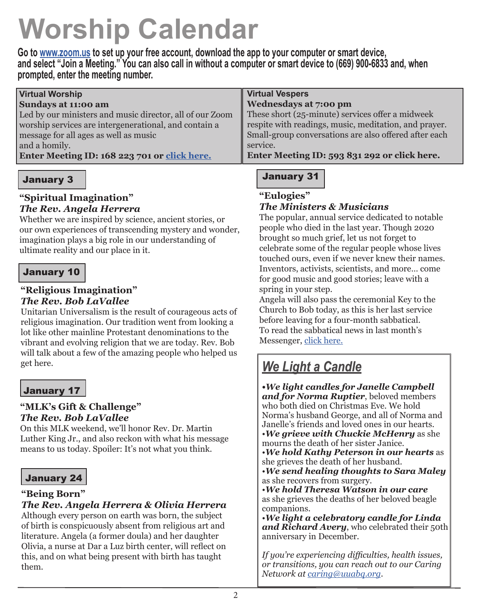## **Worship Calendar**

**Go to [www.zoom.us](http://www.zoom.us) to set up your free account, download the app to your computer or smart device, and select "Join a Meeting." You can also call in without a computer or smart device to (669) 900-6833 and, when prompted, enter the meeting number.**

| <b>Virtual Vespers</b>                                |
|-------------------------------------------------------|
| Wednesdays at 7:00 pm                                 |
| These short (25-minute) services offer a midweek      |
| respite with readings, music, meditation, and prayer. |
| Small-group conversations are also offered after each |
| service.                                              |
| Enter Meeting ID: 593 831 292 or click here.          |
|                                                       |

## January 3

## **"Spiritual Imagination"** *The Rev. Angela Herrera*

Whether we are inspired by science, ancient stories, or our own experiences of transcending mystery and wonder, imagination plays a big role in our understanding of ultimate reality and our place in it.

## January 10

## **"Religious Imagination"**  *The Rev. Bob LaVallee*

Unitarian Universalism is the result of courageous acts of religious imagination. Our tradition went from looking a lot like other mainline Protestant denominations to the vibrant and evolving religion that we are today. Rev. Bob will talk about a few of the amazing people who helped us get here.

## January 17

## **"MLK's Gift & Challenge"**  *The Rev. Bob LaVallee*

On this MLK weekend, we'll honor Rev. Dr. Martin Luther King Jr., and also reckon with what his message means to us today. Spoiler: It's not what you think.

## January 24

## **"Being Born"**

*The Rev. Angela Herrera & Olivia Herrera* Although every person on earth was born, the subject of birth is conspicuously absent from religious art and literature. Angela (a former doula) and her daughter Olivia, a nurse at Dar a Luz birth center, will reflect on this, and on what being present with birth has taught them.

## January 31

**"Eulogies"**

## *The Ministers & Musicians*

The popular, annual service dedicated to notable people who died in the last year. Though 2020 brought so much grief, let us not forget to celebrate some of the regular people whose lives touched ours, even if we never knew their names. Inventors, activists, scientists, and more… come for good music and good stories; leave with a spring in your step.

Angela will also pass the ceremonial Key to the Church to Bob today, as this is her last service before leaving for a four-month sabbatical. To read the sabbatical news in last month's Messenger, [click here.](http://uuabq.com/wp-content/uploads/2020/11/Messenger_1220.pdf)

## *We Light a Candle*

*•We light candles for Janelle Campbell and for Norma Ruptier*, beloved members who both died on Christmas Eve. We hold Norma's husband George, and all of Norma and Janelle's friends and loved ones in our hearts.

•*We grieve with Chuckie McHenry* as she mourns the death of her sister Janice.

•*We hold Kathy Peterson in our hearts* as she grieves the death of her husband.

•*We send healing thoughts to Sara Maley* as she recovers from surgery.

•*We hold Theresa Watson in our care* as she grieves the deaths of her beloved beagle companions.

•*We light a celebratory candle for Linda*  and Richard Avery, who celebrated their 50th anniversary in December.

*If you're experiencing difficulties, health issues, or transitions, you can reach out to our Caring Network at [caring@uuabq.org](mailto:caring@uuabq.org).*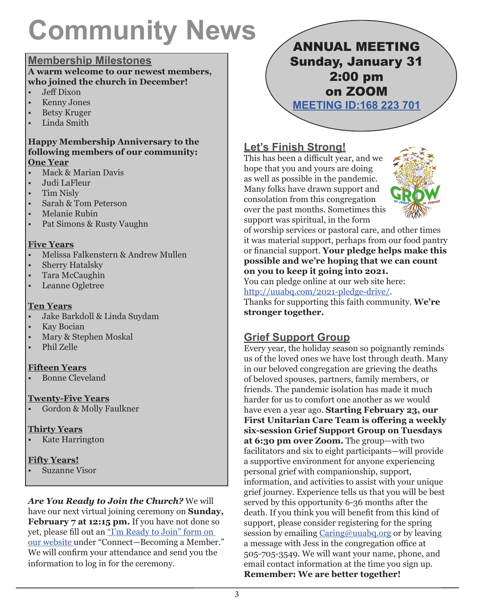## **Community News**

## **Membership Milestones**

#### **A warm welcome to our newest members, who joined the church in December!**

- Jeff Dixon
- Kenny Jones
- Betsy Kruger
- Linda Smith

#### **Happy Membership Anniversary to the following members of our community: One Year**

- Mack & Marian Davis
- Judi LaFleur
- Tim Nisly
- Sarah & Tom Peterson
- Melanie Rubin
- Pat Simons & Rusty Vaughn

## **Five Years**

- Melissa Falkenstern & Andrew Mullen
- Sherry Hatalsky
- Tara McCaughin
- Leanne Ogletree

## **Ten Years**

- Jake Barkdoll & Linda Suydam
- **Kay Bocian**
- Mary & Stephen Moskal
- Phil Zelle

## **Fifteen Years**

• Bonne Cleveland

## **Twenty-Five Years**

• Gordon & Molly Faulkner

## **Thirty Years**

• Kate Harrington

## **Fifty Years!**

• Suzanne Visor

*Are You Ready to Join the Church?* We will have our next virtual joining ceremony on **Sunday,**  February 7 at 12:15 pm. If you have not done so yet, please fill out an ["I'm Ready to Join" form on](http://uuabq.com/becoming-a-member/ready-to-join-form/)  [our website](http://uuabq.com/becoming-a-member/ready-to-join-form/) under "Connect—Becoming a Member." We will confirm your attendance and send you the information to log in for the ceremony.

ANNUAL MEETING Sunday, January 31 2:00 pm on ZOOM **[MEETING ID:168 223 701](https://uuma.zoom.us/j/168223701)**

## **Let's Finish Strong!**

This has been a difficult year, and we hope that you and yours are doing as well as possible in the pandemic. Many folks have drawn support and consolation from this congregation over the past months. Sometimes this support was spiritual, in the form



of worship services or pastoral care, and other times it was material support, perhaps from our food pantry or financial support. **Your pledge helps make this possible and we're hoping that we can count on you to keep it going into 2021.**  You can pledge online at our web site here: <http://uuabq.com/2021-pledge-drive/>. Thanks for supporting this faith community. **We're stronger together.** 

## **Grief Support Group**

Every year, the holiday season so poignantly reminds us of the loved ones we have lost through death. Many in our beloved congregation are grieving the deaths of beloved spouses, partners, family members, or friends. The pandemic isolation has made it much harder for us to comfort one another as we would have even a year ago. **Starting February 23, our First Unitarian Care Team is offering a weekly six-session Grief Support Group on Tuesdays at 6:30 pm over Zoom.** The group—with two facilitators and six to eight participants—will provide a supportive environment for anyone experiencing personal grief with companionship, support, information, and activities to assist with your unique grief journey. Experience tells us that you will be best served by this opportunity 6-36 months after the death. If you think you will benefit from this kind of support, please consider registering for the spring session by emailing [Caring@uuabq.org](mailto:Caring@uuabq.org) or by leaving a message with Jess in the congregation office at 505-705-3549. We will want your name, phone, and email contact information at the time you sign up. **Remember: We are better together!**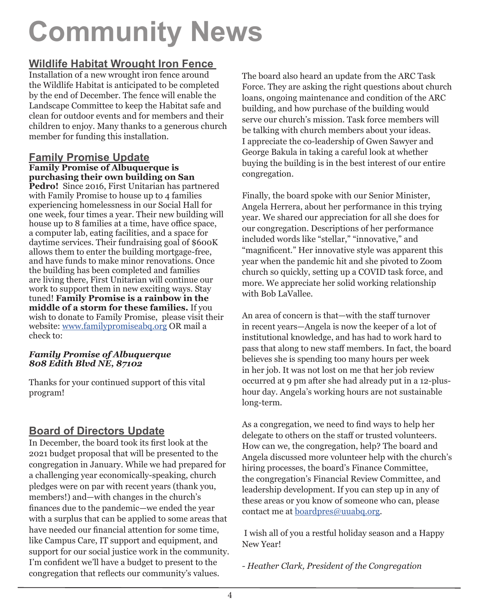# **Community News**

## **Wildlife Habitat Wrought Iron Fence**

Installation of a new wrought iron fence around the Wildlife Habitat is anticipated to be completed by the end of December. The fence will enable the Landscape Committee to keep the Habitat safe and clean for outdoor events and for members and their children to enjoy. Many thanks to a generous church member for funding this installation.

#### **Family Promise Update Family Promise of Albuquerque is purchasing their own building on San**

**Pedro!** Since 2016, First Unitarian has partnered with Family Promise to house up to 4 families experiencing homelessness in our Social Hall for one week, four times a year. Their new building will house up to 8 families at a time, have office space, a computer lab, eating facilities, and a space for daytime services. Their fundraising goal of \$600K allows them to enter the building mortgage-free, and have funds to make minor renovations. Once the building has been completed and families are living there, First Unitarian will continue our work to support them in new exciting ways. Stay tuned! **Family Promise is a rainbow in the middle of a storm for these families.** If you wish to donate to Family Promise, please visit their website: [www.familypromiseabq.org](http://www.familypromiseabq.org) OR mail a check to:

### *Family Promise of Albuquerque 808 Edith Blvd NE, 87102*

Thanks for your continued support of this vital program!

## **Board of Directors Update**

In December, the board took its first look at the 2021 budget proposal that will be presented to the congregation in January. While we had prepared for a challenging year economically-speaking, church pledges were on par with recent years (thank you, members!) and—with changes in the church's finances due to the pandemic—we ended the year with a surplus that can be applied to some areas that have needed our financial attention for some time, like Campus Care, IT support and equipment, and support for our social justice work in the community. I'm confident we'll have a budget to present to the congregation that reflects our community's values.

The board also heard an update from the ARC Task Force. They are asking the right questions about church loans, ongoing maintenance and condition of the ARC building, and how purchase of the building would serve our church's mission. Task force members will be talking with church members about your ideas. I appreciate the co-leadership of Gwen Sawyer and George Bakula in taking a careful look at whether buying the building is in the best interest of our entire congregation.

Finally, the board spoke with our Senior Minister, Angela Herrera, about her performance in this trying year. We shared our appreciation for all she does for our congregation. Descriptions of her performance included words like "stellar," "innovative," and "magnificent." Her innovative style was apparent this year when the pandemic hit and she pivoted to Zoom church so quickly, setting up a COVID task force, and more. We appreciate her solid working relationship with Bob LaVallee.

An area of concern is that—with the staff turnover in recent years—Angela is now the keeper of a lot of institutional knowledge, and has had to work hard to pass that along to new staff members. In fact, the board believes she is spending too many hours per week in her job. It was not lost on me that her job review occurred at 9 pm after she had already put in a 12-plushour day. Angela's working hours are not sustainable long-term.

As a congregation, we need to find ways to help her delegate to others on the staff or trusted volunteers. How can we, the congregation, help? The board and Angela discussed more volunteer help with the church's hiring processes, the board's Finance Committee, the congregation's Financial Review Committee, and leadership development. If you can step up in any of these areas or you know of someone who can, please contact me at [boardpres@uuabq.org](mailto:boardpres@uuabq.org).

 I wish all of you a restful holiday season and a Happy New Year!

*- Heather Clark, President of the Congregation*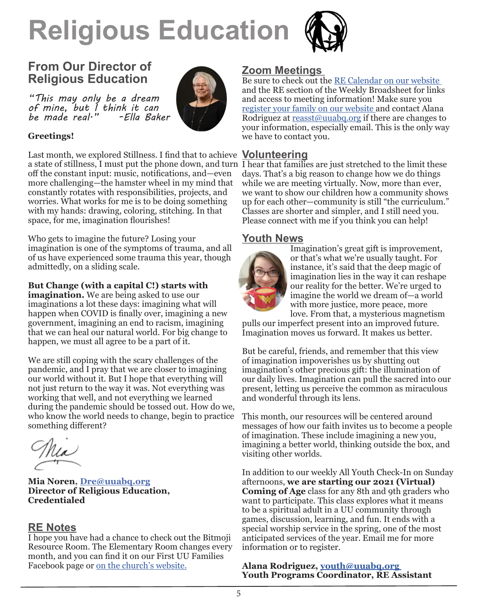# **Religious Education**



## **From Our Director of Religious Education**

*"This may only be a dream of mine, but I think it can be made real." -Ella Baker*



### **Greetings!**

Last month, we explored Stillness. I find that to achieve **Volunteering** a state of stillness, I must put the phone down, and turn I hear that families are just stretched to the limit these off the constant input: music, notifications, and—even more challenging—the hamster wheel in my mind that constantly rotates with responsibilities, projects, and worries. What works for me is to be doing something with my hands: drawing, coloring, stitching. In that space, for me, imagination flourishes!

Who gets to imagine the future? Losing your imagination is one of the symptoms of trauma, and all of us have experienced some trauma this year, though admittedly, on a sliding scale.

**But Change (with a capital C!) starts with** 

**imagination.** We are being asked to use our imaginations a lot these days: imagining what will happen when COVID is finally over, imagining a new government, imagining an end to racism, imagining that we can heal our natural world. For big change to happen, we must all agree to be a part of it.

We are still coping with the scary challenges of the pandemic, and I pray that we are closer to imagining our world without it. But I hope that everything will not just return to the way it was. Not everything was working that well, and not everything we learned during the pandemic should be tossed out. How do we, who know the world needs to change, begin to practice something different?

**Mia Noren, [Dre@uuabq.org](mailto:Dre@uuabq.org ) Director of Religious Education, Credentialed**

## **RE Notes**

I hope you have had a chance to check out the Bitmoji Resource Room. The Elementary Room changes every month, and you can find it on our First UU Families Facebook page or [on the church's website.](http://uuabq.com/religious-education/elementary-re-resource-room/
)

## **Zoom Meetings**

Be sure to check out the [RE Calendar on our website](http://uuabq.com/wp-content/uploads/2020/12/1.2021-RE-newsletter.pdf)  and the RE section of the Weekly Broadsheet for links and access to meeting information! Make sure you [register your family on our website](http://uuabq.com/registering-for-re/) and contact Alana Rodriguez at [reasst@uuabq.org](mailto:reasst@uuabq.org) if there are changes to your information, especially email. This is the only way we have to contact you.

days. That's a big reason to change how we do things while we are meeting virtually. Now, more than ever, we want to show our children how a community shows up for each other—community is still "the curriculum." Classes are shorter and simpler, and I still need you. Please connect with me if you think you can help!

## **Youth News**



Imagination's great gift is improvement, or that's what we're usually taught. For instance, it's said that the deep magic of imagination lies in the way it can reshape our reality for the better. We're urged to imagine the world we dream of—a world with more justice, more peace, more love. From that, a mysterious magnetism

pulls our imperfect present into an improved future. Imagination moves us forward. It makes us better.

But be careful, friends, and remember that this view of imagination impoverishes us by shutting out imagination's other precious gift: the illumination of our daily lives. Imagination can pull the sacred into our present, letting us perceive the common as miraculous and wonderful through its lens.

This month, our resources will be centered around messages of how our faith invites us to become a people of imagination. These include imagining a new you, imagining a better world, thinking outside the box, and visiting other worlds.

In addition to our weekly All Youth Check-In on Sunday afternoons, **we are starting our 2021 (Virtual) Coming of Age** class for any 8th and 9th graders who want to participate. This class explores what it means to be a spiritual adult in a UU community through games, discussion, learning, and fun. It ends with a special worship service in the spring, one of the most anticipated services of the year. Email me for more information or to register.

**Alana Rodriguez, [youth@uuabq.org](mailto:youth@uuabq.org )  Youth Programs Coordinator, RE Assistant**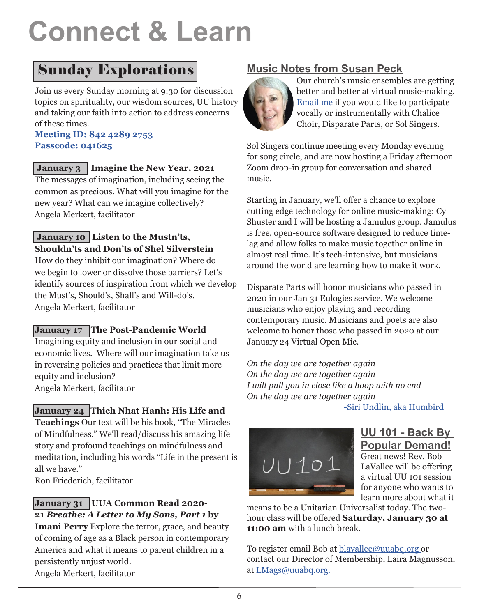# **Connect & Learn**

## Sunday Explorations

Join us every Sunday morning at 9:30 for discussion topics on spirituality, our wisdom sources, UU history and taking our faith into action to address concerns of these times.

### **[Meeting ID: 842 4289 2753](https://us02web.zoom.us/j/84242892753?pwd=c0ZDSDUxMmJodDVYWmVZSHAyL1p1UT09) [Passcode: 041625](https://us02web.zoom.us/j/84242892753?pwd=c0ZDSDUxMmJodDVYWmVZSHAyL1p1UT09)**

## **January 3 Imagine the New Year, 2021**

The messages of imagination, including seeing the common as precious. What will you imagine for the new year? What can we imagine collectively? Angela Merkert, facilitator

## **January 10 Listen to the Mustn'ts, Shouldn'ts and Don'ts of Shel Silverstein**

How do they inhibit our imagination? Where do we begin to lower or dissolve those barriers? Let's identify sources of inspiration from which we develop the Must's, Should's, Shall's and Will-do's. Angela Merkert, facilitator

## **January 17 The Post-Pandemic World**

Imagining equity and inclusion in our social and economic lives. Where will our imagination take us in reversing policies and practices that limit more equity and inclusion? Angela Merkert, facilitator

## **January 24 Thich Nhat Hanh: His Life and**

**Teachings** Our text will be his book, "The Miracles of Mindfulness." We'll read/discuss his amazing life story and profound teachings on mindfulness and meditation, including his words "Life in the present is all we have."

Ron Friederich, facilitator

## **January 31 UUA Common Read 2020- 21** *Breathe: A Letter to My Sons, Part 1* **by**

**Imani Perry** Explore the terror, grace, and beauty of coming of age as a Black person in contemporary America and what it means to parent children in a persistently unjust world. Angela Merkert, facilitator

## **Music Notes from Susan Peck**



Our church's music ensembles are getting better and better at virtual music-making. Email [me](mailto:speck@uuabq.org) if you would like to participate vocally or instrumentally with Chalice Choir, Disparate Parts, or Sol Singers.

Sol Singers continue meeting every Monday evening for song circle, and are now hosting a Friday afternoon Zoom drop-in group for conversation and shared music.

Starting in January, we'll offer a chance to explore cutting edge technology for online music-making: Cy Shuster and I will be hosting a Jamulus group. Jamulus is free, open-source software designed to reduce timelag and allow folks to make music together online in almost real time. It's tech-intensive, but musicians around the world are learning how to make it work.

Disparate Parts will honor musicians who passed in 2020 in our Jan 31 Eulogies service. We welcome musicians who enjoy playing and recording contemporary music. Musicians and poets are also welcome to honor those who passed in 2020 at our January 24 Virtual Open Mic.

*On the day we are together again On the day we are together again I will pull you in close like a hoop with no end On the day we are together again*

[-Siri Undlin, aka Humbird](https://www.youtube.com/watch?v=xSA4vF2qc3Q
)



## **UU 101 - Back By Popular Demand!**

Great news! Rev. Bob LaVallee will be offering a virtual UU 101 session for anyone who wants to learn more about what it

means to be a Unitarian Universalist today. The twohour class will be offered **Saturday, January 30 at 11:00 am** with a lunch break.

To register email Bob at [blavallee@uuabq.org](mailto:blavallee@uuabq.org ) or contact our Director of Membership, Laira Magnusson, at L[Mags@uuabq.org.](mailto:LMags@uuabq.org.)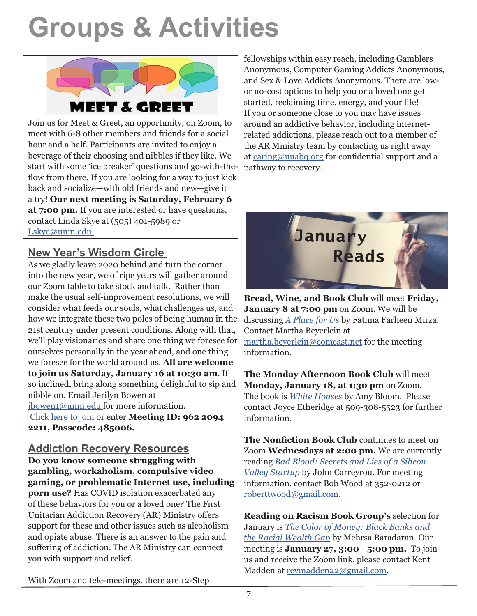## **Groups & Activities**



Join us for Meet & Greet, an opportunity, on Zoom, to meet with 6-8 other members and friends for a social hour and a half. Participants are invited to enjoy a beverage of their choosing and nibbles if they like. We start with some 'ice breaker' questions and go-with-theflow from there. If you are looking for a way to just kick back and socialize—with old friends and new—give it a try! **Our next meeting is Saturday, February 6 at 7:00 pm.** If you are interested or have questions, contact Linda Skye at (505) 401-5989 or [Lskye@unm.edu](mailto:Lskye@unm.edu).

## **New Year's Wisdom Circle**

As we gladly leave 2020 behind and turn the corner into the new year, we of ripe years will gather around our Zoom table to take stock and talk. Rather than make the usual self-improvement resolutions, we will consider what feeds our souls, what challenges us, and how we integrate these two poles of being human in the 21st century under present conditions. Along with that, we'll play visionaries and share one thing we foresee for ourselves personally in the year ahead, and one thing we foresee for the world around us. **All are welcome to join us Saturday, January 16 at 10:30 am**. If so inclined, bring along something delightful to sip and nibble on. Email Jerilyn Bowen at [jbowen1@unm.edu](mailto:jbowen1@unm.edu ) for more information.

[Click here to join](https://zoom.us/j/96220942211?pwd=bkk5ZWdlZkVBVWs1V1RMUVpuOHlpUT09) or enter **Meeting ID: 962 2094 2211, Passcode: 485006.**

**Addiction Recovery Resources Do you know someone struggling with gambling, workaholism, compulsive video gaming, or problematic Internet use, including porn use?** Has COVID isolation exacerbated any of these behaviors for you or a loved one? The First Unitarian Addiction Recovery (AR) Ministry offers support for these and other issues such as alcoholism and opiate abuse. There is an answer to the pain and suffering of addiction. The AR Ministry can connect you with support and relief.

fellowships within easy reach, including Gamblers Anonymous, Computer Gaming Addicts Anonymous, and Sex & Love Addicts Anonymous. There are lowor no-cost options to help you or a loved one get started, reclaiming time, energy, and your life! If you or someone close to you may have issues around an addictive behavior, including internetrelated addictions, please reach out to a member of the AR Ministry team by contacting us right away at [caring@uuabq.org](mailto:caring@uuabq.org) for confidential support and a pathway to recovery.



**Bread, Wine, and Book Club** will meet **Friday, January 8 at 7:00 pm** on Zoom. We will be discussing *[A Place for U](https://bookshop.org/books/a-place-for-us-9781524763558/9781524763565)s* by Fatima Farheen Mirza. Contact Martha Beyerlein at [martha.beyerlein@comcast.net](mailto:martha.beyerlein@comcast.net) for the meeting information.

**The Monday Afternoon Book Club** will meet **Monday, January 18, at 1:30 pm** on Zoom. The book is *[White Houses](mailto:https://bookshop.org/books/white-houses-9780812985696/9780812985696?subject=)* by Amy Bloom. Please contact Joyce Etheridge at 509-308-5523 for further information.

**The Nonfiction Book Club** continues to meet on Zoom **Wednesdays at 2:00 pm.** We are currently reading *Bad Blood: Secrets and Lies of a Silicon Valley Startup* [b](https://bookshop.org/books/bad-blood-secrets-and-lies-in-a-silicon-valley-startup/9780525431992)y John Carreyrou. For meeting information, contact Bob Wood at 352-0212 or [roberttwood@gmail.com.](mailto:roberttwood@gmail.com.)

**Reading on Racism Book Group's** selection for January is *[The Color of Money: Black Banks and](https://bookshop.org/books/the-color-of-money-black-banks-and-the-racial-wealth-gap-9780674970953/9780674237476)  [the Racial Wealth Gap](https://bookshop.org/books/the-color-of-money-black-banks-and-the-racial-wealth-gap-9780674970953/9780674237476)* by Mehrsa Baradaran. Our meeting is **January 27, 3:00—5:00 pm.** To join us and receive the Zoom link, please contact Kent Madden at revmadden22@gmail.com.

With Zoom and tele-meetings, there are 12-Step